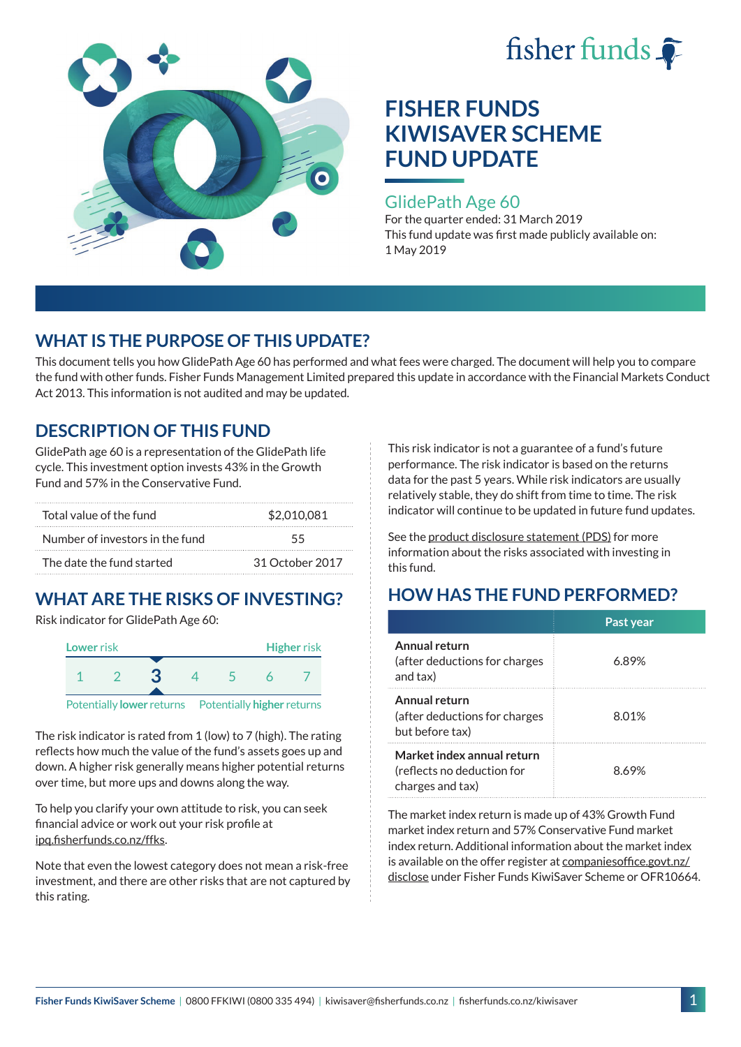



#### GlidePath Age 60

For the quarter ended: 31 March 2019 This fund update was first made publicly available on: 1 May 2019

## **WHAT IS THE PURPOSE OF THIS UPDATE?**

This document tells you how GlidePath Age 60 has performed and what fees were charged. The document will help you to compare the fund with other funds. Fisher Funds Management Limited prepared this update in accordance with the Financial Markets Conduct Act 2013. This information is not audited and may be updated.

## **DESCRIPTION OF THIS FUND**

GlidePath age 60 is a representation of the GlidePath life cycle. This investment option invests 43% in the Growth Fund and 57% in the Conservative Fund.

| Total value of the fund         | \$2,010,081     |  |
|---------------------------------|-----------------|--|
| Number of investors in the fund | 55              |  |
| The date the fund started       | 31 October 2017 |  |

# **WHAT ARE THE RISKS OF INVESTING?**

Risk indicator for GlidePath Age 60:



Potentially **lower** returns Potentially **higher** returns

The risk indicator is rated from 1 (low) to 7 (high). The rating reflects how much the value of the fund's assets goes up and down. A higher risk generally means higher potential returns over time, but more ups and downs along the way.

To help you clarify your own attitude to risk, you can seek financial advice or work out your risk profile at [ipq.fisherfunds.co.nz/ffks](https://ipq.fisherfunds.co.nz/ffks).

Note that even the lowest category does not mean a risk-free investment, and there are other risks that are not captured by this rating.

This risk indicator is not a guarantee of a fund's future performance. The risk indicator is based on the returns data for the past 5 years. While risk indicators are usually relatively stable, they do shift from time to time. The risk indicator will continue to be updated in future fund updates.

See the [product disclosure statement \(PDS\)](https://fisherfunds.co.nz/assets/PDS/Fisher-Funds-KiwiSaver-Scheme-PDS.pdf) for more information about the risks associated with investing in this fund.

# **HOW HAS THE FUND PERFORMED?**

|                                                                              | Past year |
|------------------------------------------------------------------------------|-----------|
| Annual return<br>(after deductions for charges<br>and tax)                   | 6.89%     |
| Annual return<br>(after deductions for charges<br>but before tax)            | 8.01%     |
| Market index annual return<br>(reflects no deduction for<br>charges and tax) | 8.69%     |

The market index return is made up of 43% Growth Fund market index return and 57% Conservative Fund market index return. Additional information about the market index is available on the offer register at [companiesoffice.govt.nz/](http://companiesoffice.govt.nz/disclose) [disclose](http://companiesoffice.govt.nz/disclose) under Fisher Funds KiwiSaver Scheme or OFR10664.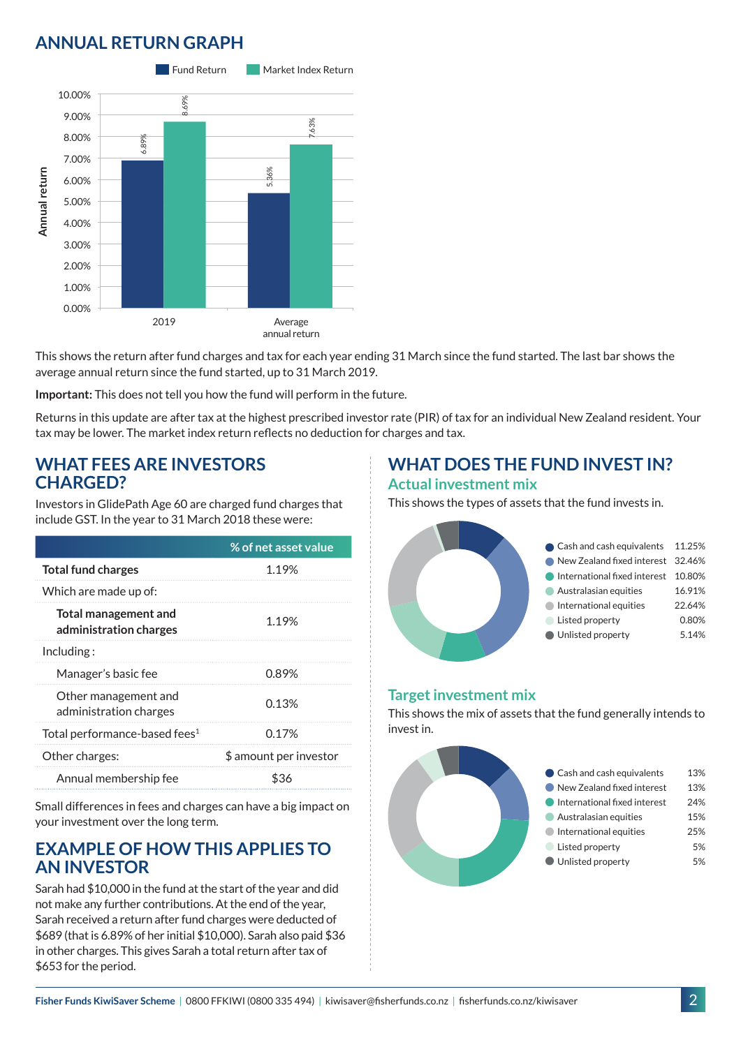# **ANNUAL RETURN GRAPH**



This shows the return after fund charges and tax for each year ending 31 March since the fund started. The last bar shows the average annual return since the fund started, up to 31 March 2019.

**Important:** This does not tell you how the fund will perform in the future.

Returns in this update are after tax at the highest prescribed investor rate (PIR) of tax for an individual New Zealand resident. Your tax may be lower. The market index return reflects no deduction for charges and tax.

### **WHAT FEES ARE INVESTORS CHARGED?**

Investors in GlidePath Age 60 are charged fund charges that include GST. In the year to 31 March 2018 these were:

|                                                | % of net asset value   |
|------------------------------------------------|------------------------|
| <b>Total fund charges</b>                      | 1.19%                  |
| Which are made up of:                          |                        |
| Total management and<br>administration charges | 1.19%                  |
| Including:                                     |                        |
| Manager's basic fee                            | 0.89%                  |
| Other management and<br>administration charges | 0.13%                  |
| Total performance-based fees <sup>1</sup>      | 0.17%                  |
| Other charges:                                 | \$ amount per investor |
| Annual membership fee                          | 836                    |

Small differences in fees and charges can have a big impact on your investment over the long term.

### **EXAMPLE OF HOW THIS APPLIES TO AN INVESTOR**

Sarah had \$10,000 in the fund at the start of the year and did not make any further contributions. At the end of the year, Sarah received a return after fund charges were deducted of \$689 (that is 6.89% of her initial \$10,000). Sarah also paid \$36 in other charges. This gives Sarah a total return after tax of \$653 for the period.

## **WHAT DOES THE FUND INVEST IN? Actual investment mix**

This shows the types of assets that the fund invests in.



#### **Target investment mix**

This shows the mix of assets that the fund generally intends to invest in.